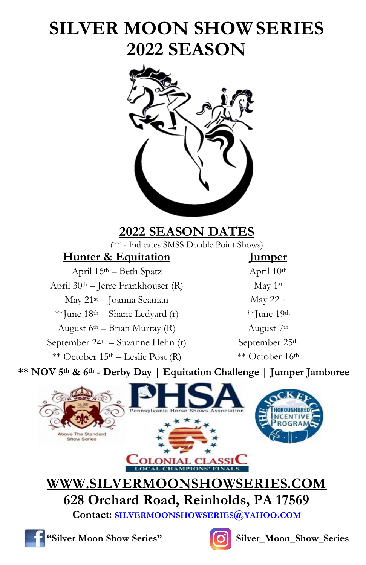# **SILVER MOON SHOWSERIES 2022 SEASON**



## **2022 SEASON DATES**

(\*\* - Indicates SMSS Double Point Shows)

| <b>Hunter &amp; Equitation</b>                | <u>Iumper</u>         |
|-----------------------------------------------|-----------------------|
| April $16th$ – Beth Spatz                     | April 10th            |
| April $30th$ – Jerre Frankhouser (R)          | May 1st               |
| May 21 <sup>st</sup> - Joanna Seaman          | May $22nc$            |
| **June $18th$ – Shane Ledyard (r)             | $**$ June 19          |
| August $6th$ – Brian Murray (R)               | August 7 <sup>t</sup> |
| September 24 <sup>th</sup> – Suzanne Hehn (r) | September 2           |
| ** October $15th$ – Leslie Post (R)           | ** October            |

## **Humper** April 10<sup>th</sup> May  $22<sup>nd</sup>$ \*\*June 19<sup>th</sup> August 7<sup>th</sup> September 25<sup>th</sup>  $**$  October 16<sup>th</sup>

**\*\* NOV 5th & 6th - Derby Day | Equitation Challenge | Jumper Jamboree**



**WWW.SILVERMOONSHOWSERIES.COM 628 Orchard Road, Reinholds, PA 17569**

**Contact: [SILVERMOONSHOWSERIES](mailto:SILVERMOONSHOWSERIES@YAHOO.COM)@YAHOO.COM**





**"Silver Moon Show Series" C** Silver\_Moon\_Show\_Series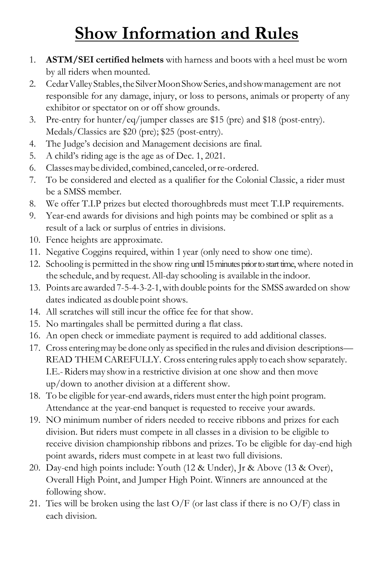# **Show Information and Rules**

- 1. **ASTM/SEI certified helmets** with harness and boots with a heel must be worn by all riders when mounted.
- 2. Cedar Valley Stables, the Silver Moon Show Series, and show management are not responsible for any damage, injury, or loss to persons, animals or property of any exhibitor or spectator on or off show grounds.
- 3. Pre-entry for hunter/eq/jumper classes are \$15 (pre) and \$18 (post-entry). Medals/Classics are \$20 (pre); \$25 (post-entry).
- 4. The Judge's decision and Management decisions are final.
- 5. A child's riding age is the age as of Dec. 1, 2021.
- 6. Classesmaybedivided, combined,canceled,orre-ordered.
- 7. To be considered and elected as a qualifier for the Colonial Classic, a rider must be a SMSS member.
- 8. We offer T.I.P prizes but elected thoroughbreds must meet T.I.P requirements.
- 9. Year-end awards for divisions and high points may be combined or split as a result of a lack or surplus of entries in divisions.
- 10. Fence heights are approximate.
- 11. Negative Coggins required, within 1 year (only need to show one time).
- 12. Schooling is permitted in the show ring until 15 minutes prior to start time, where noted in the schedule, and by request.All-day schooling is available in the indoor.
- 13. Points are awarded 7-5-4-3-2-1,with double points for the SMSS awarded on show dates indicated as double point shows.
- 14. All scratches will still incur the office fee for that show.
- 15. No martingales shall be permitted during a flat class.
- 16. An open check or immediate payment is required to add additional classes.
- 17. Cross entering may be done only as specified in the rules and division descriptions— READ THEM CAREFULLY. Cross entering rules apply to each show separately. I.E.-Ridersmay showin a restrictive division at one show and then move up/down to another division at a different show.
- 18. To be eligible for year-end awards, riders must enter the high point program. Attendance at the year-end banquet is requested to receive your awards.
- 19. NO minimum number of riders needed to receive ribbons and prizes for each division. But riders must compete in all classes in a division to be eligible to receive division championship ribbons and prizes. To be eligible for day-end high point awards, riders must compete in at least two full divisions.
- 20. Day-end high points include: Youth (12 & Under), Jr & Above (13 & Over), Overall High Point, and Jumper High Point. Winners are announced at the following show.
- 21. Ties will be broken using the last  $O/F$  (or last class if there is no  $O/F$ ) class in each division.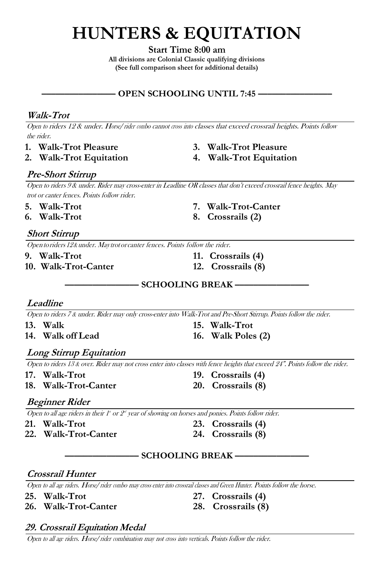# **HUNTERS & EQUITATION**

**Start Time 8:00 am**

**All divisions are Colonial Classic qualifying divisions (See full comparison sheet for additional details)**

#### **–––––––––––––––– OPEN SCHOOLING UNTIL 7:45 ––––––––––––––––**

#### **Walk-Trot**

<sup>O</sup>pe<sup>n</sup> <sup>t</sup><sup>o</sup> riders 12 & under. Horse/ride<sup>r</sup> combo cannot <sup>c</sup>ross <sup>i</sup>nt<sup>o</sup> classes that exceed crossrail heights. Points follow the rider.

- 
- 
- **1. Walk-Trot Pleasure 3. Walk-Trot Pleasure**
- **2. Walk-Trot Equitation 4. Walk-Trot Equitation**

#### **Pre-Short Stirrup**

Open to riders 9 & under. Rider may cross-enter in Leadline OR classes that don't exceed crossrail fence heights. May trot or canter fences. Points follow rider.

- **5. Walk-Trot 7. Walk-Trot-Canter**
- 

#### **Short Stirrup**

Open to riders 12&under. May trotor canter fences. Points follow the rider.

- **9. Walk-Trot 11. Crossrails (4)**
- **10. Walk-Trot-Canter 12. Crossrails (8)**
- **6. Walk-Trot 8. Crossrails (2)**
	-
	-

**–––––––––––––––– SCHOOLING BREAK ––––––––––––––––**

#### **Leadline**

Open to riders 7 & under. Rider may only cross-enter into Walk-Trot and Pre-Short Stirrup. Points follow the rider.

- 
- 
- **13. Walk 15. Walk-Trot 14. Walk off Lead 16. Walk Poles (2)**

#### **Long Stirrup Equitation**

Open to riders 13 & over. Rider may not cross enter into classes with fence heights that exceed 24". Points follow the rider.

- 
- **18. Walk-Trot-Canter 20. Crossrails (8)**
- **17. Walk-Trot 19. Crossrails (4)**
	-

#### **Beginner Rider**

Open to all age riders in their 1<sup>\*</sup> or 2<sup>\*</sup> year of showing on horses and ponies. Points follow rider.

- 
- **22. Walk-Trot-Canter 24. Crossrails (8)**
- **21. Walk-Trot 23. Crossrails (4)**
	-

#### **–––––––––––––––– SCHOOLING BREAK ––––––––––––––––**

#### **Crossrail Hunter**

Open to all age riders. Horse/rider combo may cross enter into crossrail classes and Green Hunter. Points follow the horse.

- 
- **26. Walk-Trot-Canter 28. Crossrails (8)**
- **25. Walk-Trot 27. Crossrails (4)**
	-

#### **29. Crossrail Equitation Medal**

Open to all age riders. Horse/rider combination may not cross into verticals. Points follow the rider.

- 
-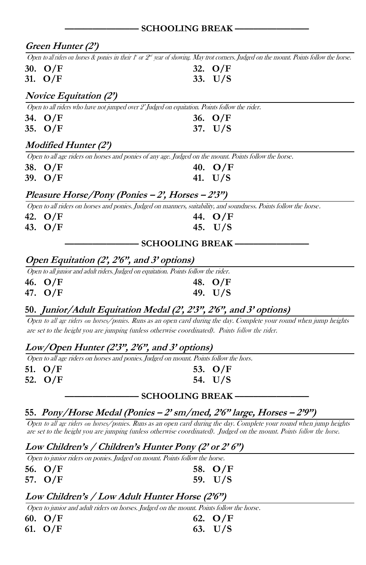|                               | ———— SCHOOLING BREAK -                                                                                                                        |
|-------------------------------|-----------------------------------------------------------------------------------------------------------------------------------------------|
| Green Hunter (2')             |                                                                                                                                               |
|                               | Open to all riders on horses & ponies in their $f'$ or $2st$ year of showing. May trot corners. Judged on the mount. Points follow the horse. |
| 30. O/F                       | 32. $O/F$                                                                                                                                     |
| 31. O/F                       | 33. $U/S$                                                                                                                                     |
| <i>Novice Equitation (2')</i> |                                                                                                                                               |
|                               | Open to all riders who have not jumped over $2'$ Judged on equitation. Points follow the rider.                                               |
| 34. O/F                       | 36. $O/F$                                                                                                                                     |
| 35. O/F                       | 37. $U/S$                                                                                                                                     |
| <i>Modified Hunter (2')</i>   |                                                                                                                                               |
|                               | Open to all age riders on horses and ponies of any age. Judged on the mount. Points follow the horse.                                         |
| 38. O/F                       | 40. $O/F$                                                                                                                                     |
| 39. O/F                       | 41. $U/S$                                                                                                                                     |
|                               | Pleasure Horse/Pony (Ponies - 2', Horses - 2'3")                                                                                              |
|                               | Open to all riders on horses and ponies. Judged on manners, suitability, and soundness. Points follow the horse.                              |
| 42. O/F                       | 44. O/F                                                                                                                                       |
| 43. O/F                       | 45. $U/S$                                                                                                                                     |
|                               | <b>SCHOOLING BREAK-</b>                                                                                                                       |
|                               | Open Equitation (2', 2'6", and 3' options)                                                                                                    |
|                               | Open to all junior and adult riders. Judged on equitation. Points follow the rider.                                                           |
| 46. O/F                       | 48. $O/F$                                                                                                                                     |
| 47. O/F                       | 49. U/S                                                                                                                                       |
|                               | 50. Junior/Adult Equitation Medal (2, 2'3", 2'6", and 3' options)                                                                             |
|                               | Open to all age riders on horses/ponies. Runs as an open card during the day. Complete your round when jump heights                           |
|                               | are set to the height you are jumping (unless otherwise coordinated). Points follow the rider.                                                |

#### **Low/Open Hunter (2'3", 2'6", and 3' options)**

Open to all age riders on horses and ponies. Judged on mount. Points follow the hors.

| 51. $O/F$ | 53. $O/F$ |
|-----------|-----------|
| 52. $O/F$ | 54. U/S   |

#### **–––––––––––––––– SCHOOLING BREAK ––––––––––––––––**

#### **55. Pony/Horse Medal (Ponies – 2' sm/med, 2'6" large, Horses – 2'9")**

Ope<sup>n</sup> <sup>t</sup><sup>o</sup> <sup>a</sup>ll <sup>a</sup>g<sup>e</sup> <sup>r</sup>ider<sup>s</sup> on horses/ponies. Runs as an open card during the day. Complete your round when jump heights are set to the height you are jumping (unless otherwise coordinated). Judged on the mount. Point<sup>s</sup> foll<sup>o</sup><sup>w</sup> <sup>t</sup>h<sup>e</sup> horse.

#### **Low Children's / Children's Hunter Pony (2' or 2' 6")**

Open to junior riders on ponies. Judged on mount. Points follow the horse.

| 56. O/F | 58. $O/F$ |
|---------|-----------|
| 57. O/F | 59. $U/S$ |

#### **Low Children's / Low Adult Hunter Horse (2'6")**

Open to junior and adult riders on horses. Judged on the mount. Points follow the horse.

| 60. $O/F$ | 62. $O/F$ |
|-----------|-----------|
| 61. $O/F$ | 63. $U/S$ |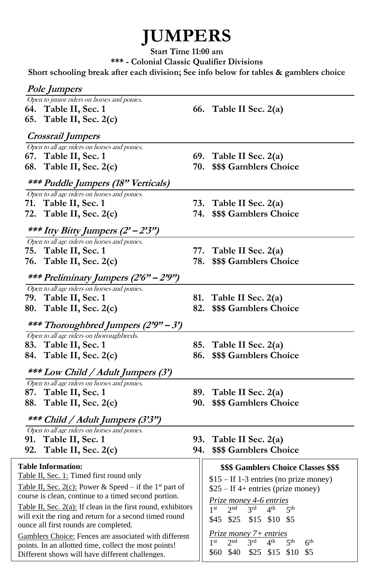# **JUMPERS**

**Start Time 11:00 am \*\*\* - Colonial Classic Qualifier Divisions**

**Short schooling break after each division; See info below for tables & gamblers choice**

| <i>Pole Jumpers</i>                                                              |                                                                                                                |
|----------------------------------------------------------------------------------|----------------------------------------------------------------------------------------------------------------|
| Open to junior riders on horses and ponies.                                      |                                                                                                                |
| 64. Table II, Sec. 1                                                             | 66. Table II Sec. $2(a)$                                                                                       |
| 65. Table II, Sec. 2(c)                                                          |                                                                                                                |
| Crossrail Jumpers                                                                |                                                                                                                |
| Open to all age riders on horses and ponies.                                     |                                                                                                                |
| 67. Table II, Sec. 1                                                             | 69. Table II Sec. $2(a)$                                                                                       |
| 68.<br>Table II, Sec. 2(c)                                                       | 70.<br>\$\$\$ Gamblers Choice                                                                                  |
| *** Puddle Jumpers (18" Verticals)                                               |                                                                                                                |
| Open to all age riders on horses and ponies.                                     |                                                                                                                |
| 71. Table II, Sec. 1                                                             | 73.<br>Table II Sec. 2(a)                                                                                      |
| 72. Table II, Sec. $2(c)$                                                        | 74.<br>\$\$\$ Gamblers Choice                                                                                  |
| *** Itty Bitty Jumpers (2' – 2'3")                                               |                                                                                                                |
| Open to all age riders on horses and ponies.                                     |                                                                                                                |
| 75. Table II, Sec. 1                                                             | 77.<br>Table II Sec. 2(a)                                                                                      |
| 76.<br>Table II, Sec. 2(c)                                                       | 78.<br>\$\$\$ Gamblers Choice                                                                                  |
| *** Preliminary Jumpers (2'6" – 2'9")                                            |                                                                                                                |
| Open to all age riders on horses and ponies.                                     |                                                                                                                |
| 79. Table II, Sec. 1                                                             | 81.<br>Table II Sec. 2(a)                                                                                      |
| 80.<br>Table II, Sec. 2(c)                                                       | 82.<br>\$\$\$ Gamblers Choice                                                                                  |
| *** Thoroughbred Jumpers (2'9" – 3')                                             |                                                                                                                |
| Open to all age riders on thoroughbreds.                                         |                                                                                                                |
| 83. Table II, Sec. 1                                                             | Table II Sec. 2(a)<br>85.                                                                                      |
| 84.<br>Table II, Sec. 2(c)                                                       | \$\$\$ Gamblers Choice<br>86.                                                                                  |
| *** Low Child / Adult Jumpers (3')                                               |                                                                                                                |
| Open to all age riders on horses and ponies.                                     |                                                                                                                |
| 87. Table II, Sec. 1                                                             | 89.<br>Table II Sec. 2(a)                                                                                      |
| Table II, Sec. 2(c)<br>88.                                                       | \$\$\$ Gamblers Choice<br>90.                                                                                  |
| *** Child / Adult Jumpers (3'3")<br>Open to all age riders on horses and ponies. |                                                                                                                |
| 91.<br>Table II, Sec. 1                                                          | 93.<br>Table II Sec. 2(a)                                                                                      |
| 92.<br>Table II, Sec. 2(c)                                                       | 94.<br>\$\$\$ Gamblers Choice                                                                                  |
|                                                                                  |                                                                                                                |
| <b>Table Information:</b>                                                        | \$\$\$ Gamblers Choice Classes \$\$\$                                                                          |
| Table II, Sec. 1: Timed first round only                                         | \$15 – If 1-3 entries (no prize money)                                                                         |
| Table II, Sec. $2(c)$ : Power & Speed – if the 1 <sup>st</sup> part of           | $$25 - If 4+ entries (price money)$                                                                            |
| course is clean, continue to a timed second portion.                             | Prize money 4-6 entries                                                                                        |
| Table II, Sec. 2(a): If clean in the first round, exhibitors                     | 2 <sup>nd</sup><br>3 <sup>rd</sup><br>1 <sup>st</sup><br>4 <sup>th</sup><br>5 <sup>th</sup>                    |
| will exit the ring and return for a second timed round                           | \$15 \$10 \$5<br>\$45 \$25                                                                                     |
| ounce all first rounds are completed.                                            |                                                                                                                |
| Gamblers Choice: Fences are associated with different                            | Prize money 7+ entries                                                                                         |
| points. In an allotted time, collect the most points!                            | 2 <sup>nd</sup><br>1 <sup>st</sup><br>3 <sup>rd</sup><br>4 <sup>th</sup><br>5 <sup>th</sup><br>6 <sup>th</sup> |
| Different shows will have different challenges.                                  | \$60 \$40 \$25 \$15 \$10<br>\$5                                                                                |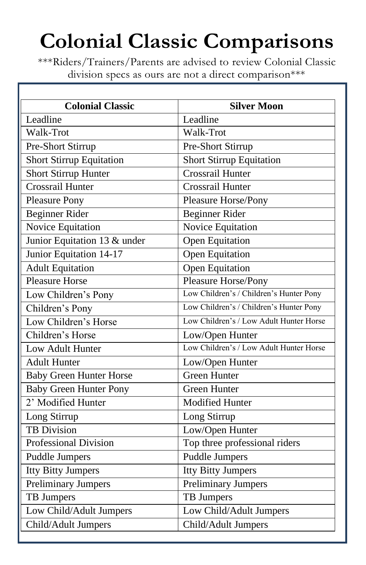# **Colonial Classic Comparisons**

\*\*\*Riders/Trainers/Parents are advised to review Colonial Classic division specs as ours are not a direct comparison\*\*\*

| <b>Colonial Classic</b>         | <b>Silver Moon</b>                      |
|---------------------------------|-----------------------------------------|
| Leadline                        | Leadline                                |
| Walk-Trot                       | Walk-Trot                               |
| Pre-Short Stirrup               | Pre-Short Stirrup                       |
| <b>Short Stirrup Equitation</b> | <b>Short Stirrup Equitation</b>         |
| Short Stirrup Hunter            | Crossrail Hunter                        |
| <b>Crossrail Hunter</b>         | Crossrail Hunter                        |
| <b>Pleasure Pony</b>            | Pleasure Horse/Pony                     |
| <b>Beginner Rider</b>           | Beginner Rider                          |
| Novice Equitation               | Novice Equitation                       |
| Junior Equitation 13 & under    | Open Equitation                         |
| Junior Equitation 14-17         | Open Equitation                         |
| <b>Adult Equitation</b>         | Open Equitation                         |
| <b>Pleasure Horse</b>           | Pleasure Horse/Pony                     |
| Low Children's Pony             | Low Children's / Children's Hunter Pony |
| Children's Pony                 | Low Children's / Children's Hunter Pony |
| Low Children's Horse            | Low Children's / Low Adult Hunter Horse |
| Children's Horse                | Low/Open Hunter                         |
| Low Adult Hunter                | Low Children's / Low Adult Hunter Horse |
| <b>Adult Hunter</b>             | Low/Open Hunter                         |
| <b>Baby Green Hunter Horse</b>  | <b>Green Hunter</b>                     |
| <b>Baby Green Hunter Pony</b>   | <b>Green Hunter</b>                     |
| 2' Modified Hunter              | <b>Modified Hunter</b>                  |
| Long Stirrup                    | Long Stirrup                            |
| <b>TB</b> Division              | Low/Open Hunter                         |
| <b>Professional Division</b>    | Top three professional riders           |
| <b>Puddle Jumpers</b>           | <b>Puddle Jumpers</b>                   |
| <b>Itty Bitty Jumpers</b>       | <b>Itty Bitty Jumpers</b>               |
| <b>Preliminary Jumpers</b>      | <b>Preliminary Jumpers</b>              |
| TB Jumpers                      | TB Jumpers                              |
| Low Child/Adult Jumpers         | Low Child/Adult Jumpers                 |
| Child/Adult Jumpers             | Child/Adult Jumpers                     |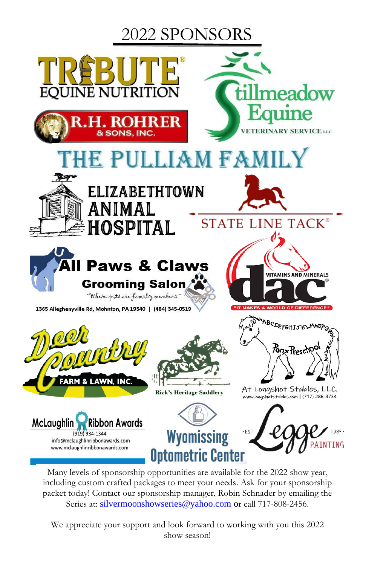## 2022 SPONSORS



Many levels of sponsorship opportunities are available for the 2022 show year, including custom crafted packages to meet your needs. Ask for your sponsorship packet today! Contact our sponsorship manager, Robin Schnader by emailing the Series at: [silvermoonshowseries@yahoo.com](mailto:silvermoonshowseries@yahoo.com) or call 717-808-2456.

We appreciate your support and look forward to working with you this 2022 show season!